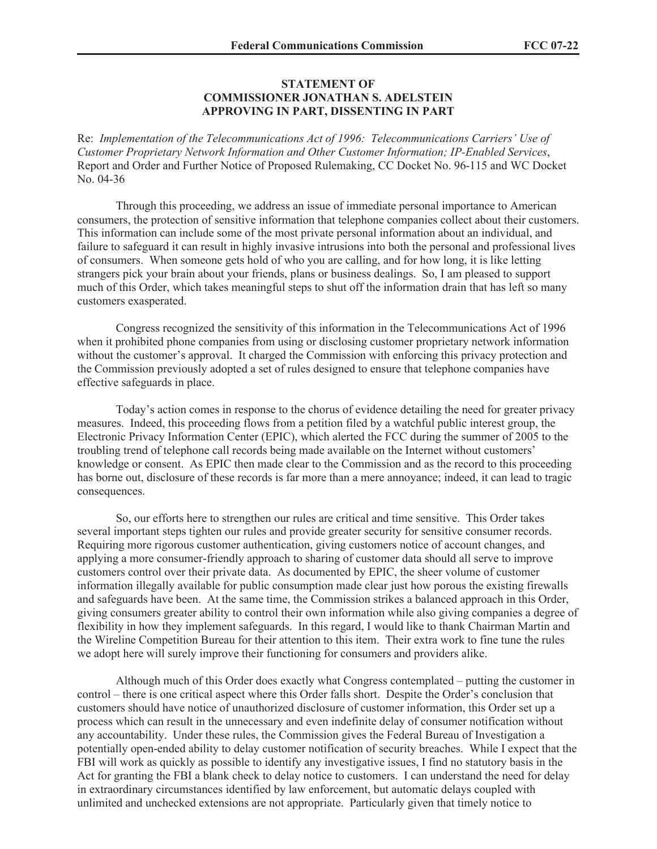## **STATEMENT OF COMMISSIONER JONATHAN S. ADELSTEIN APPROVING IN PART, DISSENTING IN PART**

Re: *Implementation of the Telecommunications Act of 1996: Telecommunications Carriers' Use of Customer Proprietary Network Information and Other Customer Information; IP-Enabled Services*, Report and Order and Further Notice of Proposed Rulemaking, CC Docket No. 96-115 and WC Docket No. 04-36

Through this proceeding, we address an issue of immediate personal importance to American consumers, the protection of sensitive information that telephone companies collect about their customers. This information can include some of the most private personal information about an individual, and failure to safeguard it can result in highly invasive intrusions into both the personal and professional lives of consumers. When someone gets hold of who you are calling, and for how long, it is like letting strangers pick your brain about your friends, plans or business dealings. So, I am pleased to support much of this Order, which takes meaningful steps to shut off the information drain that has left so many customers exasperated.

Congress recognized the sensitivity of this information in the Telecommunications Act of 1996 when it prohibited phone companies from using or disclosing customer proprietary network information without the customer's approval. It charged the Commission with enforcing this privacy protection and the Commission previously adopted a set of rules designed to ensure that telephone companies have effective safeguards in place.

Today's action comes in response to the chorus of evidence detailing the need for greater privacy measures. Indeed, this proceeding flows from a petition filed by a watchful public interest group, the Electronic Privacy Information Center (EPIC), which alerted the FCC during the summer of 2005 to the troubling trend of telephone call records being made available on the Internet without customers' knowledge or consent. As EPIC then made clear to the Commission and as the record to this proceeding has borne out, disclosure of these records is far more than a mere annoyance; indeed, it can lead to tragic consequences.

So, our efforts here to strengthen our rules are critical and time sensitive. This Order takes several important steps tighten our rules and provide greater security for sensitive consumer records. Requiring more rigorous customer authentication, giving customers notice of account changes, and applying a more consumer-friendly approach to sharing of customer data should all serve to improve customers control over their private data. As documented by EPIC, the sheer volume of customer information illegally available for public consumption made clear just how porous the existing firewalls and safeguards have been. At the same time, the Commission strikes a balanced approach in this Order, giving consumers greater ability to control their own information while also giving companies a degree of flexibility in how they implement safeguards. In this regard, I would like to thank Chairman Martin and the Wireline Competition Bureau for their attention to this item. Their extra work to fine tune the rules we adopt here will surely improve their functioning for consumers and providers alike.

Although much of this Order does exactly what Congress contemplated – putting the customer in control – there is one critical aspect where this Order falls short. Despite the Order's conclusion that customers should have notice of unauthorized disclosure of customer information, this Order set up a process which can result in the unnecessary and even indefinite delay of consumer notification without any accountability. Under these rules, the Commission gives the Federal Bureau of Investigation a potentially open-ended ability to delay customer notification of security breaches. While I expect that the FBI will work as quickly as possible to identify any investigative issues, I find no statutory basis in the Act for granting the FBI a blank check to delay notice to customers. I can understand the need for delay in extraordinary circumstances identified by law enforcement, but automatic delays coupled with unlimited and unchecked extensions are not appropriate. Particularly given that timely notice to